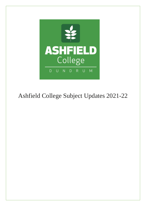

# Ashfield College Subject Updates 2021-22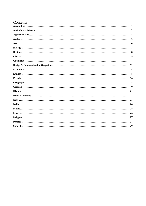# Contents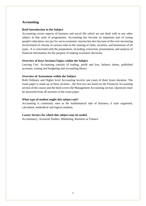# <span id="page-2-0"></span>**Accounting**

### **Brief Introduction to the Subject**

Accounting covers aspects of business and social life which are not dealt with in any other subject in that suite of programmes. Accounting has become an important part of young people's education, not just for socio-economic reasons but also because of the ever-increasing involvement of citizens in various roles in the running of clubs, societies, and businesses of all types. It is concerned with the preparation, recording, extraction, presentation, and analysis of financial information for the purpose of making economic decisions.

# **Overview of Keys Sections/Topics within the Subject**

Leaving Cert. Accounting consists of trading, profit and loss, balance sheets, published accounts, costing and budgeting and accounting theory.

# **Overview of Assessment within the Subject**

Both Ordinary and Higher level Accounting involve one exam of three hours duration. The exam paper is made up of three sections - the first two are based on the Financial Accounting section of the course and the third covers the Management Accounting section. Questions must be answered from all sections of the exam paper.

# **What type of student might this subject suit?**

Accounting is commonly seen as the mathematical side of business, it suits organised, calculated, methodical and logical students.

# **Career Sectors for which this subject may be useful.**

Accountancy, Actuarial Studies, Marketing, Business or Finance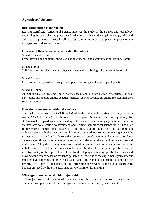# <span id="page-3-0"></span>**Agricultural Science**

### **Brief Introduction to the Subject**

Leaving Certificate Agricultural Science involves the study of the science and technology underlying the principles and practices of agriculture. It aims to develop knowledge, skills and attitudes that promote the sustainability of agricultural resources, and places emphasis on the managed use of these resources.

### **Overview of Keys Sections/Topics within the Subject**

Strand 1: Scientific Practices Hypothesising and experimenting, evaluating evidence, and communicating, working safety.

Strand 2: Soils Soil formation and classification, physical, chemical, and biological characteristics of soil.

Strand 3: Crops Crop production, grassland management, plant physiology and applied plant genetics.

Strand 4: Animals

Animal production systems (beef, dairy, sheep, and pig production enterprises), animal physiology and applied animal genetics, markets for Irish production, environmental impact of Irish agriculture.

### **Overview of Assessment within the Subject**

The final exam is worth 75% (300 marks) while the individual Investigative Study report is worth 25% (100 marks). The Individual Investigative Study provides an opportunity for students to develop a deeper understanding of the science underpinning agricultural practice in an integrated way, while also developing and refining their practical science skills. The brief for the report is thematic and is related to a topic of agricultural significance and is common to ordinary level and higher level. All candidates are required to carry out an investigative study in response to the brief, and to do so in the context of a specific agricultural enterprise. Students choose a specific agricultural enterprise and a topic relevant to the agricultural enterprise and to the theme. They then develop a research question that is related to the theme and carry out initial research on the topic as it relates to the theme. Students then carry out specific scientific investigation(s) of the topic. This will involve developing and testing specific hypothesis and drawing conclusions based on evidence gathered. At least one of the experiments you carry out must involve gathering and processing data. Candidates complete and submit a report on the investigative study, by documenting and presenting their work in the digital coursework booklet provided by the State Examinations Commission for marking.

#### **What type of student might this subject suit?**

This subject would suit students who have an interest in science and the world of agriculture. The report component would suit an organised, inquisitive, and analytical student.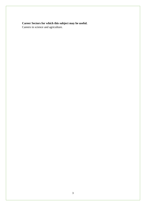# **Career Sectors for which this subject may be useful.**

Careers in science and agriculture.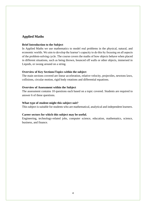# <span id="page-5-0"></span>**Applied Maths**

### **Brief Introduction to the Subject**

In Applied Maths we use mathematics to model real problems in the physical, natural, and economic worlds. We aim to develop the learner's capacity to do this by focusing on all aspects of the problem-solving cycle. The course covers the maths of how objects behave when placed in different situations, such as being thrown, bounced off walls or other objects, immersed in Liquids, or swung around on a string.

### **Overview of Key Sections/Topics within the subject**

The main sections covered are linear acceleration, relative velocity, projectiles, newtons laws, collisions, circular motion, rigid body rotations and differential equations.

### **Overview of Assessment within the Subject**

The assessment contains 10 questions each based on a topic covered. Students are required to answer 6 of these questions.

### **What type of student might this subject suit?**

This subject is suitable for students who are mathematical, analytical and independent learners.

### **Career sectors for which this subject may be useful.**

Engineering, technology-related jobs, computer science, education, mathematics, science, business, and finance.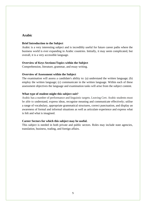# <span id="page-6-0"></span>**Arabic**

### **Brief Introduction to the Subject**

Arabic is a very interesting subject and is incredibly useful for future career paths where the business world is ever expanding in Arabic countries. Initially, it may seem complicated, but overall, it is a very accessible language.

# **Overview of Keys Sections/Topics within the Subject**

Comprehension, literature, grammar, and essay writing.

# **Overview of Assessment within the Subject**

The examination will assess a candidate's ability to: (a) understand the written language; (b) employ the written language; (c) communicate in the written language. Within each of these assessment objectives the language and examination tasks will arise from the subject content.

# **What type of student might this subject suit?**

Arabic has a number of performance and linguistic targets. Leaving Cert. Arabic students must be able to understand, express ideas, recognise meaning and communicate effectively; utilise a range of vocabulary, appropriate grammatical structures, correct punctuation, and display an awareness of formal and informal situations as well as articulate experience and express what is felt and what is imagined.

# **Career Sectors for which this subject may be useful.**

This subject is needed in both private and public sectors. Roles may include state agencies, translation, business, trading, and foreign affairs.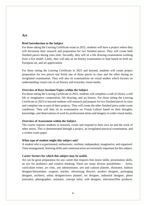# <span id="page-7-0"></span>**Art**

### **Brief Introduction to the Subject**

For those taking the Leaving Certificate exam in 2022, students will have a project where they will document their research and preparation for two finished pieces. They will create both finished pieces during class time. Secondly, they will sit a life drawing examination working from a live model. Lastly, they will take an art history examination in June based on Irish art, European art, and art appreciation.

For those sitting the Leaving Certificate in 2023 and beyond, students will create project preparation for two pieces and finish one of those pieces in class and the other during an invigilated examination. They will also sit examinations on visual studies which focuses on understanding visual cues in art history and everyday visual media.

### **Overview of Keys Sections/Topics within the Subject**

For those sitting the Leaving Certificate in 2022, students will complete a craft of choice, a still life or imaginative composition, life drawing, and art history. For those sitting the Leaving Certificate in 2023 or beyond students will research and prepare for two finished pieces in class and complete one as part of their projects. They will create the other finished piece under exam conditions. They will then sit an examination on Visual Culture based on their thoughts, knowledge, and observations of work by professional artists and imagery in wider visual media.

### **Overview of Assessment within the Subject**

The course requires students to research, create and respond to their own art and the work of other artists. This is demonstrated through a project, an invigilated practical examination, and a written exam paper.

### **What type of student might this subject suit?**

A student who is experimental, enthusiastic, resilient, independent, imaginative, and organised. Time management, listening skills and communication are extremely important for this subject.

### **Career Sectors for which this subject may be useful.**

Art can be great preparation for any career that requires fine motor skills, presentation skills, an eye for aesthetics and creative thinking. There are many diverse possibilities - Artist, curriculum writer, art critic, arts administrator, arts and cultural planner, illustrator, fashion designer/dressmaker, surgeon, teacher, advertising director, product designer, packaging designer, architect, urban designer/town planner, set designer, industrial designer, photo journalist, photographer, animator, concept artist, web designer, television/film producer,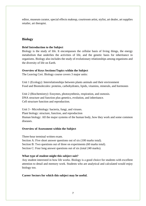editor, museum curator, special effects makeup, courtroom artist, stylist, art dealer, art supplies retailer, art therapist.

# <span id="page-8-0"></span>**Biology**

# **Brief Introduction to the Subject**

Biology is the study of life. It encompasses the cellular basis of living things, the energy metabolism that underlies the activities of life, and the genetic basis for inheritance in organisms. Biology also includes the study of evolutionary relationships among organisms and the diversity of life on Earth.

# **Overview of Keys Sections/Topics within the Subject**

The Leaving Cert. Biology course covers 3 major units:

Unit 1 (Ecology): Interrelationships between plants animals and their environment Food and Biomolecules: proteins, carbohydrates, lipids, vitamins, minerals, and hormones

Unit 2 (Biochemistry): Enzymes, photosynthesis, respiration, and osmosis. DNA structure and function plus genetics, evolution, and inheritance. Cell structure function and reproduction.

Unit 3 - Microbiology: bacteria, fungi, and viruses. Plant biology: structure, function, and reproduction Human biology: All the major systems of the human body, how they work and some common diseases.

# **Overview of Assessment within the Subject**

Three-hour terminal written exam. Section A: Five short answer questions out of six (100 marks total). Section B: Two questions out of three on experiments (60 marks total). Section C: Four long answer questions out of six (total 240 marks).

# **What type of student might this subject suit?**

Any student interested in how life works. Biology is a good choice for students with excellent attention to detail and memory work. Students who are analytical and calculated would enjoy biology too.

### **Career Sectors for which this subject may be useful.**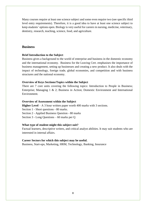Many courses require at least one science subject and some even require two (see specific third level entry requirements). Therefore, it is a good idea to have at least one science subject to keep students' options open. Biology is very useful for careers in nursing, medicine, veterinary, dentistry, research, teaching, science, food, and agriculture.

# <span id="page-9-0"></span>**Business**

### **Brief Introduction to the Subject**

Business gives a background to the world of enterprise and business in the domestic economy and the international economy. Business for the Leaving Cert. emphasises the importance of business management, setting up businesses and creating a new product. It also deals with the impact of technology, foreign trade, global economies, and competition and with business structures and the national economy.

### **Overview of Keys Sections/Topics within the Subject**

There are 7 core units covering the following topics: Introduction to People in Business; Enterprise; Managing 1 & 2; Business in Action; Domestic Environment and International Environment.

#### **Overview of Assessment within the Subject**

**Higher Level** – A 3 hour written paper worth 400 marks with 3 sections. Section 1 - Short questions - 80 marks. Section 2 - Applied Business Question - 80 marks Section 3 - Long Questions – 60 marks per Q

#### **What type of student might this subject suit?**

Factual learners, descriptive writers, and critical analyst abilities. It may suit students who are interested in internal affairs.

#### **Career Sectors for which this subject may be useful.**

Business, Start-ups, Marketing, HRM, Technology, Banking, Insurance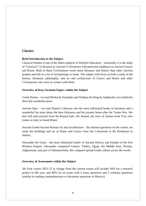# <span id="page-10-0"></span>**Classics**

# **Brief Introduction to the Subject**

Classical Studies is one of the oldest subjects in Western Education – essentially it is the study of 'Classical' Civilization or Ancient Civilizations with particular emphasis on Ancient Greece and Rome. Both of these Civilizations wrote more literature and history than other Ancient peoples and left us a lot of Archaeology to study. The subject will focus on both a study of the history, literature, philosophy, and art and architecture of Greece and Rome and other Civilizations who were in contact with them.

# **Overview of Keys Sections/Topics within the Subject**

Greek Drama – we read *Medea* by Euripides and *Oedipus the King* by Sophocles; two relatively short but wonderful plays.

Ancient Epic – we read Homer's Odyssey one the most influential books in literature and a wonderful fun story about the hero Odysseus and his journey home after the Trojan War. We also will read extracts from the Roman Epic, the Aeneid, the story of Aeneas from Troy who comes to Italy to found Rome.

Ancient Greek/Ancient Roman Art and Architecture – the shortest questions on the course, we study the buildings and art of Rome and Greece from the Colosseum to the Parthenon in Athens.

Alexander the Great – the most influential leader of Ancient History and founder of the first Western Empire. Alexander conquered Greece, Turkey, Egypt, the Middle East, Persian, Afghanistan, and part of Pakistan/India. His conquest spread Greek culture across the world.

### **Overview of Assessment within the Subject**

5th Year course 2021-22 (a change from the current exam) will include 20% for a research project in 6th year, and 80% for an exam with 2 essay questions and 2 stimulus questions (similar to reading comprehensions or document questions in History).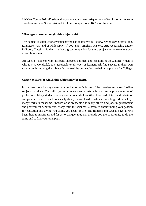6th Year Course 2021-22 (depending on any adjustments) 6 questions – 3 or 4 short essay style questions and 2 or 3 short Art and Architecture questions. 100% for the exam.

# **What type of student might this subject suit?**

This subject is suitable for any student who has an interest in History, Mythology, Storytelling, Literature, Art, and/or Philosophy. If you enjoy English, History, Art, Geography, and/or Religion, Classical Studies is either a great companion for these subjects or an excellent way to combine them.

All types of students with different interests, abilities, and capabilities do Classics which is why it is so wonderful. It is accessible to all types of learners. All find success in their own way through studying the subject. It is one of the best subjects to help you prepare for College.

# **Career Sectors for which this subject may be useful.**

It is a great prep for any career you decide to do. It is one of the broadest and most flexible subjects out there. The skills you acquire are very transferable and can help in a number of professions. Many students have gone on to study Law (the close read of text and debate of complex and controversial issues helps here), many also do medicine, sociology, art or history; many works in museums, libraries or as archaeologist; many others find jobs in government and government departments. Many enter the sciences. Classics is about finding your passion for education and giving you skills, you need for life. The Romans and Greeks have always been there to inspire us and for us to critique, they can provide you the opportunity to do the same and to find your own path.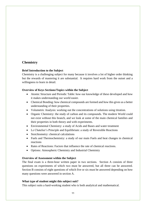# <span id="page-12-0"></span>**Chemistry**

# **Brief Introduction to the Subject**

Chemistry is a challenging subject for many because it involves a lot of higher order thinking but the rewards of mastering it are substantial. It requires hard work from the outset and a willingness to learn in detail.

# **Overview of Keys Sections/Topics within the Subject**

- Atomic Structure and Periodic Table: how our knowledge of these developed and how it makes understanding our world easier.
- Chemical Bonding: how chemical compounds are formed and how this gives us a better understanding of their properties.
- Volumetric Analysis: working out the concentrations of solutions using titration.
- Organic Chemistry: the study of carbon and its compounds. The modern World could not exist without this branch, and we look at some of the main chemical families and their properties in both theory and with experiments.
- Environmental Chemistry: a study of Acids and Bases and water treatment
- Le Chatelier's Principle and Equilibrium: a study of Reversible Reactions
- Stoichiometry: chemical calculations
- Fuels and Thermochemistry: a study of our main Fuels and heat changes in chemical reactions
- Rates of Reactions: Factors that influence the rate of chemical reactions.
- Options: Atmospheric Chemistry and Industrial Chemistry

# **Overview of Assessment within the Subject**

The final exam is a three-hour written paper in two sections. Section A consists of three questions on experiments of which two must be answered, but all three can be answered. Section B consists of eight questions of which five or six must be answered depending on how many questions were answered in section A.

# **What type of student might this subject suit?**

This subject suits a hard-working student who is both analytical and mathematical.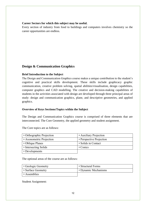# **Career Sectors for which this subject may be useful.**

Every section of industry from food to buildings and computers involves chemistry so the career opportunities are endless.

# <span id="page-13-0"></span>**Design & Communication Graphics**

# **Brief Introduction to the Subject**

The Design and Communication Graphics course makes a unique contribution to the student's cognitive and practical skills development. These skills include graphicacy graphic communication, creative problem solving, spatial abilities/visualisation, design capabilities, computer graphics and CAD modelling. The creative and decision-making capabilities of students in the activities associated with design are developed through three principal areas of study: design and communication graphics, plane, and descriptive geometries, and applied graphics.

# **Overview of Keys Sections/Topics within the Subject**

The Design and Communication Graphics course is comprised of three elements that are interconnected. The Core Geometry, the applied geometry and student assignment.

| • Orthographic Projection | • Auxiliary Projection   |
|---------------------------|--------------------------|
| • Axonometric Projection  | • Perspective Projection |
| • Oblique Planes          | • Solids in Contact      |
| • Intersecting Solids     | $\cdot$ Conics           |
| • Developments            |                          |

The Core topics are as follows:

The optional areas of the course are as follows:

| • Geologic Geometry | • Structural Forms   |
|---------------------|----------------------|
| • Surface Geometry  | • Dynamic Mechanisms |
| • Assemblies        |                      |

Student Assignment: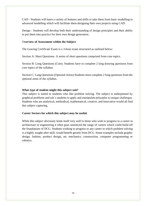CAD - Students will learn a variety of features and skills to take them from basic modelling to advanced modelling which will facilitate them designing their own projects using CAD.

Design - Students will develop both their understanding of design principles and their ability to put them into practice for their own design generation.

### O**verview of Assessment within the Subject**

The Leaving Certificate Exam is a 3-hour exam structured as outlined below:

Section A: Short Questions- A series of short questions comprised from core topics.

Section B: Long Questions (Core). Students have to complete 2 long drawing questions from core topics of the syllabus.

Section C: Long Questions (Optional Areas) Students must complete 2 long questions from the optional areas of the syllabus.

# **What type of student might this subject suit?**

This subject is suited to students who like problem solving. The subject is underpinned by graphical problems and ask's students to apply and manipulate principles to unique challenges. Students who are analytical, methodical, mathematical, creative, and innovative would all find this subject capturing.

### **Career Sectors for which this subject may be useful.**

While this subject obviously lends itself very well to those who wish to progress to a career in architecture or engineering it often goes unnoticed the range of careers which could build off the foundations of DCG. Students wishing to progress to any career in which problem solving is a highly sought-after skill; would benefit greatly from DCG. Some examples include graphic design, fashion, product design, art, mechanics, construction, computer programming or robotics.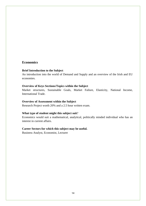# <span id="page-15-0"></span>**Economics**

### **Brief Introduction to the Subject**

An introduction into the world of Demand and Supply and an overview of the Irish and EU economies.

### **Overview of Keys Sections/Topics within the Subject**

Market structures, Sustainable Goals, Market Failure, Elasticity, National Income, International Trade.

# **Overview of Assessment within the Subject**

Research Project worth 20% and a 2.5 hour written exam.

#### **What type of student might this subject suit**?

Economics would suit a mathematical, analytical, politically minded individual who has an interest in current affairs.

# **Career Sectors for which this subject may be useful.**

Business Analyst, Economist, Lecturer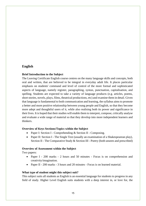# <span id="page-16-0"></span>**English**

# **Brief Introduction to the Subject**

The Leaving Certificate English course centres on the many language skills and concepts, both oral and written, that are believed to be integral in everyday adult life. It places particular emphasis on students' command and level of control of the more formal and sophisticated aspects of language, namely register, paragraphing, syntax, punctuation, capitalisation, and spelling. Students are expected to take a variety of language products (e.g. articles, poems, short stories, novels, plays, films, theatrical productions, etc) and examine them in detail. Given that language is fundamental to both communication and learning, the syllabus aims to promote a better and more positive relationship between young people and English, so that they become more adept and thoughtful users of it, while also realising both its power and significance in their lives. It is hoped that their studies will enable them to interpret, compose, critically analyse and evaluate a wide range of material so that they develop into more independent learners and thinkers.

### **Overview of Keys Sections/Topics within the Subject**

- Paper I: Section I Comprehending & Section II Composing.
- Paper II: Section I The Single Text (usually an examination of a Shakespearean play), Section II - The Comparative Study & Section III - Poetry (both unseen and prescribed)

### **Overview of Assessment within the Subject**

Two papers:

- Paper I 200 marks 2 hours and 50 minutes Focus is on comprehension and creativity/imagination.
- Paper II 200 marks 3 hours and 20 minutes Focus is on learned material.

### **What type of student might this subject suit?**

This subject suits all students as English is an essential language for students to progress in any field of study. Higher Level English suits students with a deep interest in, or love for, the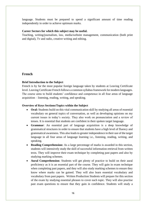language. Students must be prepared to spend a significant amount of time reading independently in order to achieve optimum marks.

### **Career Sectors for which this subject may be useful.**

Teaching, writing/journalism, law, media/website management, communication (both print and digital), Tv and radio, creative writing and editing.

# <span id="page-17-0"></span>**French**

# **Brief Introduction to the Subject**

French is by far the most popular foreign language taken by students at Leaving Certificate level. Leaving Certificate French follows a common syllabus framework for modern languages. The course aims to build students' confidence and competence in all four areas of language acquisition – listening, reading, writing, and speaking.

# **Overview of Keys Sections/Topics within the Subject**

- **Oral:** Students build on this vital communication skill by studying all areas of essential vocabulary on general topics of conversation, as well as developing opinions on my current issues in today's society. They also work on pronunciation and a review of tenses. It is essential that students are confident in their spoken target language.
- **Grammar**: An essential part of language acquisition is a deep knowledge of grammatical structures in order to ensure that students have a high level of fluency and grammatical awareness. This also leads to greater independence in their use of the target language in all four areas of language learning i.e., listening, reading, writing, and speaking.
- **Reading Comprehension:** As a large percentage of marks is awarded in this section, students will intensively study the skill of successful information retrieval from written texts. They will improve their exam technique by completing past papers and also by studying marking schemes.
- **Aural Comprehension**: Students will get plenty of practice to build on their aural proficiency as it is an essential part of the course. They will gain in exam technique when completing past papers, and they will also study marking schemes to ensure they know where marks can be gained. They will also learn essential vocabulary and vocabulary from past papers. Written Production Students will prepare for this section of the exam by studying essential phrases to cover each topic. They will also practise past exam questions to ensure that they gain in confidence. Students will study a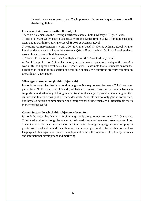thematic overview of past papers. The importance of exam technique and structure will also be highlighted.

### **Overview of Assessment within the Subject**

There are 4 elements to the Leaving Certificate exam at both Ordinary & Higher Level.

1) The oral exam which takes place usually around Easter time is a 12–15-minute speaking exam and is worth 25% at Higher Level & 20% at Ordinary Level.

2) Reading Comprehension is worth 30% at Higher Level & 40% at Ordinary Level. Higher Level students answer all questions (except Q6) in French, whilst Ordinary Level students answer in a mixture of both languages.

3) Written Production is worth 25% at Higher Level & 15% at Ordinary Level.

4) Aural Comprehension (takes place shortly after the written paper on the day of the exam) is worth 20% at Higher Level & 25% at Higher Level. Please note that all students answer the questions in English in this section and multiple-choice style questions are very common on the Ordinary Level paper.

### **What type of student might this subject suit?**

It should be noted that, having a foreign language is a requirement for many C.A.O. courses, particularly N.U.I. (National University of Ireland) courses. Learning a modern language supports an understanding of living in a multi-cultural society. It provides an opening to other cultures and fosters curiosity about the wider world. Students can not only gain in confidence, but they also develop communication and interpersonal skills, which are all transferable assets to the working world.

#### **Career Sectors for which this subject may be useful.**

It should be noted that, having a foreign language is a requirement for many C.A.O. courses. Third level studies in foreign languages affords graduates a vast range of career opportunities. These include roles such as translator and interpreter. Foreign language acquisition plays a pivotal role in education and thus, there are numerous opportunities for teachers of modern languages. Other significant areas of employment include the tourism sector, foreign services and international development and marketing.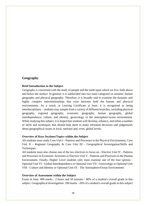# <span id="page-19-0"></span>**Geography**

### **Brief Introduction to the Subject**

Geography is concerned with the study of people and the earth upon which we live, both above and below the surface. In general, it is subdivided into two main categories or streams: human geography and physical geography. Therefore, it is broadly said to examine the dynamic and highly complex interrelationships that exist between both the human and physical environments. As a result, at Leaving Certificate at least, it is recognised as being interdisciplinary – students may sample from a variety of different branches, including physical geography, regional geography, economic geography, human geography, global interdependence, culture, and identity, geoecology or the atmosphere-ocean environment. While studying this subject, it is hoped that students will develop, enhance, and refine a number of skills and techniques that should help them to make informed decisions and judgements about geographical issues at local, national and, even, global levels.

### **Overview of Keys Sections/Topics within the Subject**

All students must study Core Unit I - Patterns and Processes in the Physical Environment, Core Unit II - Regional Geography & Core Unit III - Geographical Investigation/Skills and Techniques.

All students must also choose one of the two electives to focus on - Elective Unit IV - Patterns and Processes in Economic Activities or Elective Unit V - Patterns and Processes in the Human Environment. Finally, Higher Level students only must examine one of the four options - Optional Unit VI - Global Interdependence or Optional Unit VII - Geoecology or Optional Unit VIII - Culture and Identity or Optional Unit IX - The Atmosphere/Ocean Environment

### **Overview of Assessment within the Subject**

Exam in June: 400 marks - 2 hours and 50 minutes - 80% of a student's overall grade in this subject. Geographical Investigation: 100 marks - 20% of a student's overall grade in this subject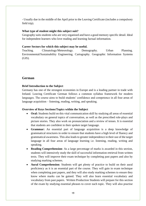- Usually due in the middle of the April prior to the Leaving Certificate (includes a compulsory field trip).

# **What type of student might this subject suit?**

Geography suits students who are very organised and have a good memory specific detail. Ideal for independent learners who love reading and learning factual information.

# **Career Sectors for which this subject may be useful.**

Teaching. Climatology/Meteorology. Demography. Urban Planning. Environmental/Sustainability Engineering. Cartography. Geographic Information Systems  $(GIS)$ .

# <span id="page-20-0"></span>**German**

# **Brief Introduction to the Subject**

Germany has one of the strongest economies in Europe and is a leading partner in trade with Ireland. Leaving Certificate German follows a common syllabus framework for modern languages. The course aims to build students' confidence and competence in all four areas of language acquisition – listening, reading, writing, and speaking.

# **Overview of Keys Sections/Topics within the Subject**

- **Oral:** Students build on this vital communication skill by studying all areas of essential vocabulary on general topics of conversation, as well as the prescribed role-plays and picture stories. They also work on pronunciation and a review of tenses. It is essential that students are confident in their spoken target language.
- **Grammar:** An essential part of language acquisition is a deep knowledge of grammatical structures in order to ensure that students have a high level of fluency and grammatical awareness. This also leads to greater independence in their use of the target language in all four areas of language learning i.e. listening, reading, writing and speaking.
- **Reading Comprehension**: As a large percentage of marks is awarded in this section, students will intensively study the skill of successful information retrieval from written texts. They will improve their exam technique by completing past papers and also by studying marking schemes.
- **Aural Comprehension**: Students will get plenty of practice to build on their aural proficiency as it is an essential part of the course. They will gain in exam technique when completing past papers, and they will also study marking schemes to ensure they know where marks can be gained. They will also learn essential vocabulary and vocabulary from past papers. Written Production Students will prepare for this section of the exam by studying essential phrases to cover each topic. They will also practise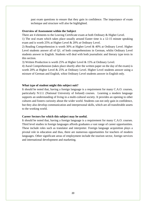past exam questions to ensure that they gain in confidence. The importance of exam technique and structure will also be highlighted.

### **Overview of Assessment within the Subject**

There are 4 elements to the Leaving Certificate exam at both Ordinary & Higher Level.

1) The oral exam which takes place usually around Easter time is a 12-15 minute speaking exam and is worth 25% at Higher Level & 20% at Ordinary Level.

2) Reading Comprehension is worth 30% at Higher Level & 40% at Ordinary Level. Higher Level students answer all of Q1. of both comprehensions in German, whilst Ordinary Level students answer in English. Students will deal with both journalistic and literary type texts in this section.

3) Written Production is worth 25% at Higher Level & 15% at Ordinary Level.

4) Aural Comprehension (takes place shortly after the written paper on the day of the exam) is worth 20% at Higher Level & 25% at Ordinary Level. Higher Level students answer using a mixture of German and English, whist Ordinary Level students answer in English only.

#### **What type of student might this subject suit?**

It should be noted that, having a foreign language is a requirement for many C.A.O. courses, particularly N.U.I. (National University of Ireland) courses. Learning a modern language supports an understanding of living in a multi-cultural society. It provides an opening to other cultures and fosters curiosity about the wider world. Students can not only gain in confidence, but they also develop communication and interpersonal skills, which are all transferable assets to the working world.

#### **Career Sectors for which this subject may be useful.**

It should be noted that, having a foreign language is a requirement for many C.A.O. courses. Third level studies in foreign languages affords graduates a vast range of career opportunities. These include roles such as translator and interpreter. Foreign language acquisition plays a pivotal role in education and thus, there are numerous opportunities for teachers of modern languages. Other significant areas of employment include the tourism sector, foreign services and international development and marketing.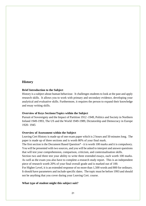# <span id="page-22-0"></span>**History**

### **Brief Introduction to the Subject**

History is a subject about human behaviour. It challenges students to look at the past and apply research skills. It allows you to work with primary and secondary evidence, developing your analytical and evaluative skills. Furthermore, it requires the person to expand their knowledge and essay writing skills.

#### **Overview of Keys Sections/Topics within the Subject**

Pursuit of Sovereignty and the Impact of Partition 1912 -1949, Politics and Society in Northern Ireland 1949-1993, The US and the World 1949-1989, Dictatorship and Democracy in Europe 1920- 1945

### **Overview of Assessment within the Subject**

Leaving Cert History is made up of one exam paper which is 2 hours and 50 minutes long. The paper is made up of three sections and is worth 80% of your final mark.

The first section is the Document Based Question\* - it is worth 100 marks and it is compulsory. You will be presented with two sources, and you will be asked to interpret and answer questions that will test your comprehension, comparison, criticism, and contextualisation skills.

Section two and three test your ability to write three extended essays, each worth 100 marks. As well as the exam you also have to complete a research study report. This is an independent piece of research worth 20% of your final overall grade and is marked out of 100.

For Higher Level, it is an extended response of no more than 1,500 words and 800 for ordinary. It should have parameters and include specific dates. The topic must be before 1993 and should not be anything that you cover during your Leaving Cert. course.

### **What type of student might this subject suit?**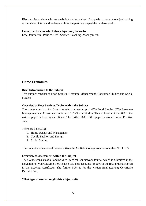History suits students who are analytical and organised. It appeals to those who enjoy looking at the wider picture and understand how the past has shaped the modern world.

# **Career Sectors for which this subject may be useful**.

Law, Journalism, Politics, Civil Service, Teaching, Management.

# <span id="page-23-0"></span>**Home Economics**

# **Brief Introduction to the Subject**

This subject consists of Food Studies, Resource Management, Consumer Studies and Social **Studies** 

# **Overview of Keys Sections/Topics within the Subject**

The course consists of a Core area which is made up of 45% Food Studies, 25% Resource Management and Consumer Studies and 10% Social Studies. This will account for 80% of the written paper in Leaving Certificate. The further 20% of this paper is taken from an Elective area.

There are 3 electives:

- 1. Home Design and Management
- 2. Textile Fashion and Design
- 3. Social Studies

The student studies one of these electives. In Ashfield College we choose either No. 1 or 3.

### **Overview of Assessment within the Subject**

The Course consists of a Food Studies Practical Coursework Journal which is submitted in the November of your Leaving Certificate Year. This accounts for 20% of the final grade achieved in the Leaving Certificate. The further 80% is for the written final Leaving Certificate Examination.

# **What type of student might this subject suit?**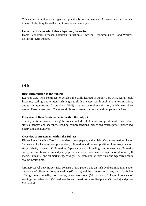This subject would suit an organised, practically minded student. A person who is a logical thinker. It ties in quite well with biology and chemistry too.

### **Career Sectors for which this subject may be useful.**

Home Economics Teacher, Dietician, Nutritionist, Interior Decorator, Chef, Food Worker, Childcare, Dressmaker.

# <span id="page-24-0"></span>**Irish**

# **Brief Introduction to the Subject**

Leaving Cert. Irish continues to develop the skills learned in Junior Cert Irish. Aural, oral, listening, reading, and written Irish language skills are assessed through an oral examination, and two written exams. An emphasis (40%) is put on the oral examination, which takes place around Easter every year. The other skills are assessed on the two written papers in June.

# **Overview of Keys Sections/Topics within the Subject**

The key sections covered during the course include: Oral, aural, composition of essays, short stories, debates and speeches. Reading comprehensions, prescribed stories/prose, prescribed poetry and a play/novel.

# **Overview of Assessment within the Subject**

Higher Level Leaving Cert Irish consists of two papers, and an Irish Oral examination. Paper 1 consists of a listening comprehension, (60 marks) and the composition of an essay, a short story, debate, or speech (100 marks). Paper 2 consists of reading comprehensions (50 marks each), and questions on studied poetry, prose, and a question on an extra piece of literature (30 marks, 30 marks, and 40 marks respectively). The Irish oral is worth 40% and typically occurs around Easter time.

Ordinary Level Leaving cert Irish consists of two papers, and an Irish Oral examination. Paper 1 consists of a listening comprehension, (60 marks) and the composition of any two of a choice of blogs, letters, emails, short stories, or conversations. (50 marks each). Paper 2 consists of reading comprehensions (50 marks each), and questions on studied poetry (50 marks) and prose (50 marks).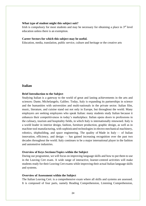### **What type of student might this subject suit?**

Irish is compulsory for most students and may be necessary for obtaining a place in  $3<sup>rd</sup>$  level education unless there is an exemption.

### **Career Sectors for which this subject may be useful.**

Education, media, translation, public service, culture and heritage or the creative arts

# <span id="page-25-0"></span>**Italian**

### **Brief Introduction to the Subject**

Studying Italian is a gateway to the world of great and lasting achievements in the arts and sciences: Dante, Michelangelo, Galileo. Today, Italy is expanding its partnerships in science and the humanities with universities and multi-nationals in the private sector. Italian film, music, literature, and cuisine stand out not only in Europe, but throughout the world. Many employers are seeking employees who speak Italian: many students study Italian because it enhances their competitiveness in today's marketplace. Italian opens doors to professions in the culinary, tourism and hospitality fields, in which Italy is internationally renowned. Italy is a world leader in interior design, fashion, furniture production, graphic design, as well as in machine tool manufacturing, with sophisticated technologies in electro-mechanical machinery, robotics, shipbuilding, and space engineering. The quality of Made in Italy  $-$  of Italian innovation, efficiency, and design — has gained increasing recognition over the past two decades throughout the world. Italy continues to be a major international player in the fashion and automotive industries.

#### **Overview of Keys Sections/Topics within the Subject**

During our programme, we will focus on improving language skills and how to put them to use in the Leaving Cert exam. A wide range of interactive, learner-centred activities will make students ready for their Leaving Cert exams while improving their actual Italian language skills and systems.

### **Overview of Assessment within the Subject**

The Italian Leaving Cert. is a comprehensive exam where all skills and systems are assessed. It is composed of four parts, namely Reading Comprehension, Listening Comprehension,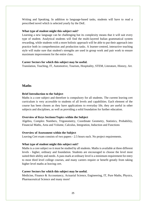Writing and Speaking. In addition to language-based tasks, students will have to read a prescribed novel which is selected yearly by the DoE.

### **What type of student might this subject suit?**

Learning a new language can be challenging but its complexity means that it will suit every type of student. Analytical students will find the multi-layered Italian grammatical system rewarding, while students with a more holistic approach will be able to put their approach into practice both in comprehension and production tasks. A learner-centred, interactive teaching style will make sure that student's strengths are used in group work and pair work to ensure maximum improvement for the entire class.

# **Career Sectors for which this subject may be useful.**

Translation, Teaching, IT, Automotive, Tourism, Hospitality, STEM, Literature, History, Art.

# <span id="page-26-0"></span>**Maths**

# **Brief Introduction to the Subject**

Maths is a core subject and therefore is compulsory for all students. The current leaving cert curriculum is very accessible to students of all levels and capabilities. Each element of the course has been chosen as they have applications to everyday life, they are useful in other subjects and disciplines, as well as providing a solid foundation for further education.

### **Overview of Keys Sections/Topics within the Subject**

Algebra, Complex Numbers, Trigonometry, Coordinate Geometry, Statistics, Probability, Financial Maths, Area and Volume, Calculus, Integration, Induction and Functions

### **Overview of Assessment within the Subject**

Leaving Cert exam consists of two papers - 2.5 hours each. No project requirements.

### **What type of student might this subject suit?**

Maths is a core subject so it must be studied by all students. Maths is available at three different levels - higher, ordinary and foundation. Students are encouraged to choose the level most suited their ability and needs. A pass mark at ordinary level is a minimum requirement for entry to most third level college courses, and many careers require or benefit greatly from taking higher level maths at leaving cert.

# **Career Sectors for which this subject may be useful.**

Medicine, Finance & Accountancy, Actuarial Science, Engineering, IT, Pure Maths, Physics, Pharmaceutical Science and many more!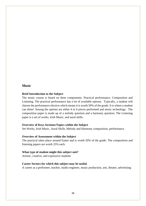# <span id="page-27-0"></span>**Music**

### **Brief Introduction to the Subject**

The music course is based on three components: Practical performance, Composition and Listening. The practical performance has a lot of available options. Typically, a student will choose the performance elective which means it is worth 50% of the grade. It is where a student can shine! Among the options are either 4 or 6 pieces performed and music technology. The composition paper is made up of a melody question and a harmony question. The Listening paper is a set of works, Irish Music, and aural skills.

#### **Overview of Keys Sections/Topics within the Subject**

Set Works, Irish Music, Aural Skills, Melody and Harmony composition, performance.

### **Overview of Assessment within the Subject**

The practical takes place around Easter and is worth 50% of the grade. The composition and listening papers are worth 25% each.

### **What type of student might this subject suit?**

Artistic, creative, and expressive students

#### **Career Sectors for which this subject may be useful.**

A career as a performer, teacher, studio engineer, music production, arts, theatre, advertising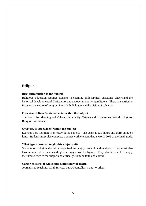# <span id="page-28-0"></span>**Religion**

### **Brief Introduction to the Subject**

Religious Education requires students to examine philosophical questions, understand the historical development of Christianity and uncover major living religions. There is a particular focus on the nature of religion, inter-faith dialogue and the vision of salvation.

### **Overview of Keys Sections/Topics within the Subject**

The Search for Meaning and Values, Christianity: Origins and Expressions, World Religions, Religion and Gender.

#### **Overview of Assessment within the Subject**

Leaving Cert Religion is an essay-based subject. The exam is two hours and thirty minutes long. Students must also complete a coursework element that is worth 20% of the final grade.

#### **What type of student might this subject suit?**

Students of Religion should be organised and enjoy research and analysis. They must also have an interest in understanding other major world religions. They should be able to apply their knowledge to the subject and critically examine faith and culture.

#### **Career Sectors for which this subject may be useful.**

Journalism, Teaching, Civil Service, Law, Counsellor, Youth Worker.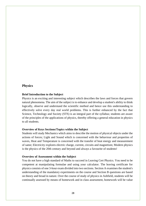# <span id="page-29-0"></span>**Physics**

### **Brief Introduction to the Subject**

Physics is an exciting and interesting subject which describes the laws and forces that govern natural phenomena. The aim of the subject is to enhance and develop a student's ability to think logically, observe and understand the scientific method and hence use this understanding to effectively solve every day real world problems. This is further enhanced by the fact that Science, Technology and Society (STS) is an integral part of the syllabus; students are aware of the principles of the applications of physics, thereby offering a general education in physics to all students.

### **Overview of Keys Sections/Topics within the Subject**

Students will study Mechanics which aims to describe the motion of physical objects under the actions of forces; Light and Sound which is concerned with the behaviour and properties of waves, Heat and Temperature is concerned with the transfer of heat energy and measurement of same; Electricity explores electric charge, current, circuits and magnetism; Modern physics is the physics of the 20th century and beyond and always a favourite of students!

#### **Overview of Assessment within the Subject**

You do not have a high standard of Maths to succeed in Leaving Cert Physics. You need to be competent at manipulating formulae and using your calculator. The leaving certificate for physics consists of one 3-hour exam divided into two sections. Section A examines the student's understanding of the mandatory experiments on the course and Section B questions are based on theory and broad in nature. Over the course of study of physics in Ashfield, students will be continually assessed by means of homework and in class assessment, homework will be value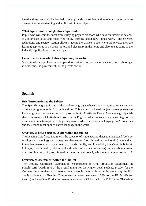based and feedback will be detailed so as to provide the student with maximum opportunity to develop their understanding and ability within the subject.

### **What type of student might this subject suit?**

Pupils who will gain the most from studying physics are those who have an interest in science at Junior Cert level and those who enjoy learning about how things work. The science, technology and society section allows students the chance to see where the physics they are learning applies as in TVs, car motors and electricity in the home and also, to see some of the industrial applications of certain topics.

# **Career Sectors for which this subject may be useful.**

Students who study physics are prepared to work on forefront ideas in science and technology, in academia, the government, or the private sector.

# <span id="page-30-0"></span>**Spanish**

# **Brief Introduction to the Subject**

The Spanish language is one of the modern languages whose study is required to enter many different programmes in Irish universities. This subject is based on (and presupposes) the knowledge students have acquired to pass the Junior Certificate Exam. As a language, Spanish shares thousands of Latin-based words with English, which makes a big percentage of its vocabulary quite transparent to English speakers. Also, it is an official language in 20 countries and the second most-spoken native language in the world.

# **Overview of Keys Sections/Topics within the Subject**

The Leaving Certificate Exam tests the capacity of students/candidates to understand (both by reading and listening) and to express themselves (both in writing and orally) about their immediate personal and social reality (friends, family, and household; town/area; hobbies & holidays; food & health; jobs, school and their future education/career) but also about current affairs of their interest (protection of the environment, social justice issues, animal welfare…).

### **Overview of Assessment within the Subject**

The Leaving Certificate Examination encompasses an Oral Production assessment in March/April (worth 25% of the overall marks for the Higher Level students & 20% for the Ordinary Level students); and two written papers in June (both sat on the same day): the first one is made out of a Reading Comprehension assessment (worth 30% for the HL & 40% for the OL) and a Written Production assessment (worth 25% for the HL & 15% for the OL), while